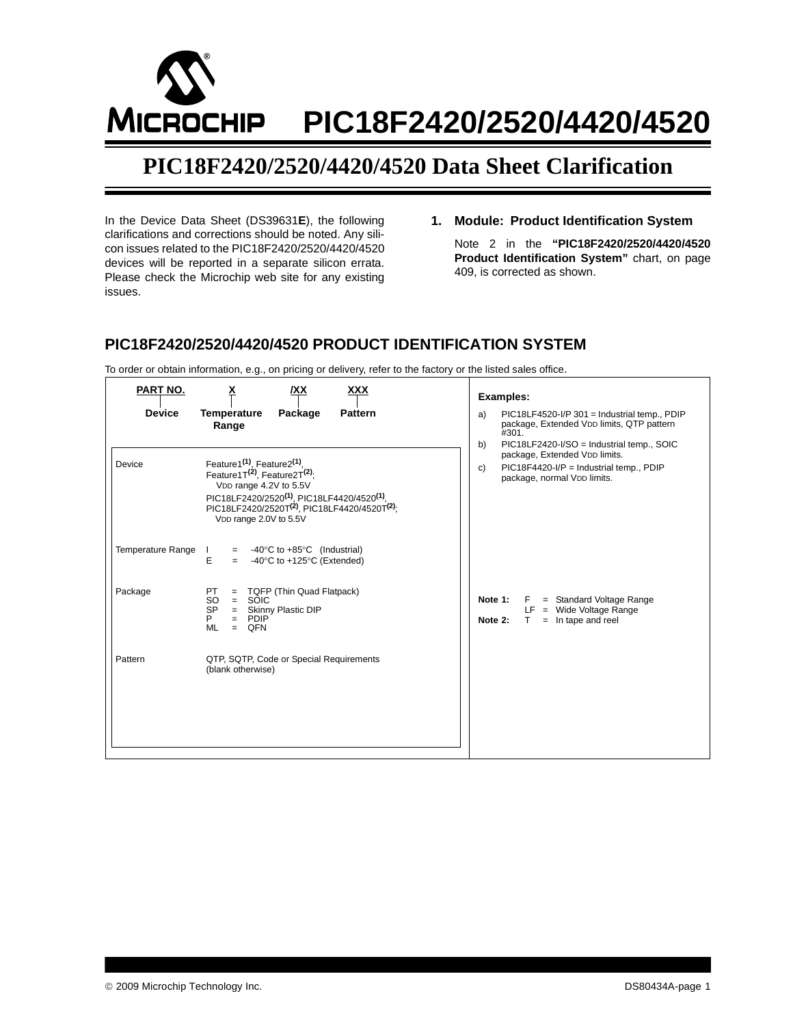**PIC18F2420/2520/4420/4520**

# **PIC18F2420/2520/4420/4520 Data Sheet Clarification**

In the Device Data Sheet (DS39631**E**), the following clarifications and corrections should be noted. Any silicon issues related to the PIC18F2420/2520/4420/4520 devices will be reported in a separate silicon errata. Please check the Microchip web site for any existing issues.

### **1. Module: Product Identification System**

Note 2 in the **["PIC18F2420/2520/4420/4520](#page-0-0) [Product Identification System"](#page-0-0)** chart, on page 409, is corrected as shown.

## <span id="page-0-0"></span>**PIC18F2420/2520/4420/4520 PRODUCT IDENTIFICATION SYSTEM**

To order or obtain information, e.g., on pricing or delivery, refer to the factory or the listed sales office.

| PART NO.<br><b>Device</b> | <u>x</u><br>IXX<br>XXX<br><b>Temperature</b><br>Package<br><b>Pattern</b>                                                                                                                                                                                                                                                 | <b>Examples:</b><br>PIC18LF4520-I/P 301 = Industrial temp., PDIP<br>a)                                                                                                                                                 |
|---------------------------|---------------------------------------------------------------------------------------------------------------------------------------------------------------------------------------------------------------------------------------------------------------------------------------------------------------------------|------------------------------------------------------------------------------------------------------------------------------------------------------------------------------------------------------------------------|
| Device                    | Range<br>Feature1 <sup>(1)</sup> , Feature2 <sup>(1)</sup> ,<br>Feature1T <sup>(2)</sup> , Feature2T <sup>(2)</sup> ;<br>VDD range 4.2V to 5.5V<br>PIC18LF2420/2520 <sup>(1)</sup> , PIC18LF4420/4520 <sup>(1)</sup> ,<br>PIC18LF2420/2520T <sup>(2)</sup> , PIC18LF4420/4520T <sup>(2)</sup> ;<br>VDD range 2.0V to 5.5V | package, Extended VDD limits, QTP pattern<br>#301.<br>PIC18LF2420-I/SO = Industrial temp., SOIC<br>b)<br>package, Extended VDD limits.<br>PIC18F4420-I/P = Industrial temp., PDIP<br>c)<br>package, normal VDD limits. |
| <b>Temperature Range</b>  | $=$ -40°C to +85°C (Industrial)<br>$\mathbf{L}$<br>E<br>-40 $\degree$ C to +125 $\degree$ C (Extended)<br>$=$ $-$                                                                                                                                                                                                         |                                                                                                                                                                                                                        |
| Package                   | PT<br>TQFP (Thin Quad Flatpack)<br>$=$<br>SO<br>SOIC<br>$=$<br>SP<br>= Skinny Plastic DIP<br>P<br>$=$<br><b>PDIP</b><br><b>ML</b><br>QFN<br>$=$                                                                                                                                                                           | Note 1:<br>= Standard Voltage Range<br>F.<br>$LF =$ Wide Voltage Range<br>$=$ In tape and reel<br>Note 2:<br>T                                                                                                         |
| Pattern                   | QTP, SQTP, Code or Special Requirements<br>(blank otherwise)                                                                                                                                                                                                                                                              |                                                                                                                                                                                                                        |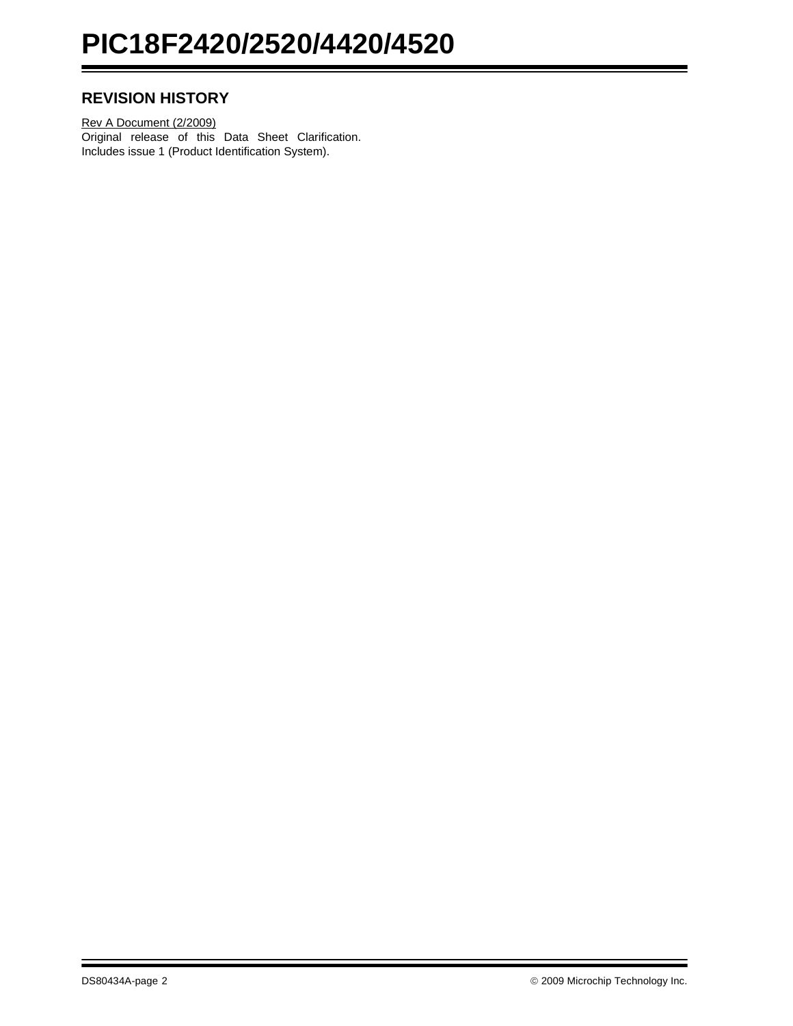## **REVISION HISTORY**

Rev A Document (2/2009) Original release of this Data Sheet Clarification. Includes issue 1 (Product Identification System).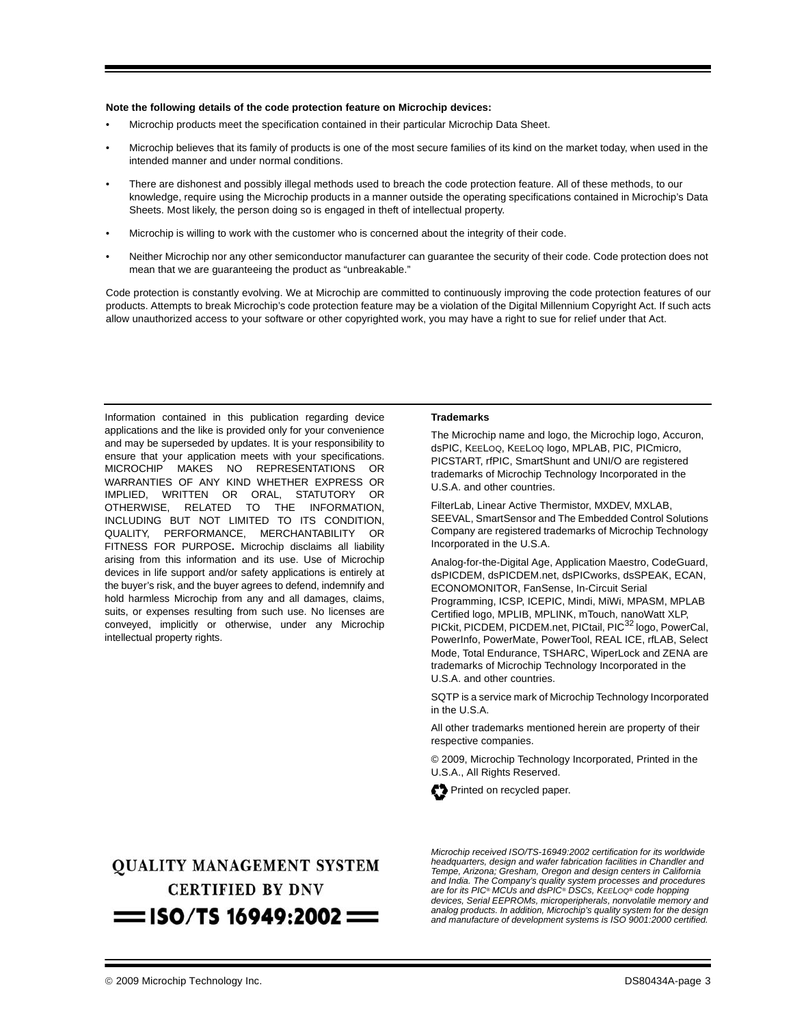#### **Note the following details of the code protection feature on Microchip devices:**

- Microchip products meet the specification contained in their particular Microchip Data Sheet.
- Microchip believes that its family of products is one of the most secure families of its kind on the market today, when used in the intended manner and under normal conditions.
- There are dishonest and possibly illegal methods used to breach the code protection feature. All of these methods, to our knowledge, require using the Microchip products in a manner outside the operating specifications contained in Microchip's Data Sheets. Most likely, the person doing so is engaged in theft of intellectual property.
- Microchip is willing to work with the customer who is concerned about the integrity of their code.
- Neither Microchip nor any other semiconductor manufacturer can guarantee the security of their code. Code protection does not mean that we are guaranteeing the product as "unbreakable."

Code protection is constantly evolving. We at Microchip are committed to continuously improving the code protection features of our products. Attempts to break Microchip's code protection feature may be a violation of the Digital Millennium Copyright Act. If such acts allow unauthorized access to your software or other copyrighted work, you may have a right to sue for relief under that Act.

Information contained in this publication regarding device applications and the like is provided only for your convenience and may be superseded by updates. It is your responsibility to ensure that your application meets with your specifications. MICROCHIP MAKES NO REPRESENTATIONS OR WARRANTIES OF ANY KIND WHETHER EXPRESS OR IMPLIED, WRITTEN OR ORAL, STATUTORY OR OTHERWISE, RELATED TO THE INFORMATION, INCLUDING BUT NOT LIMITED TO ITS CONDITION, QUALITY, PERFORMANCE, MERCHANTABILITY OR FITNESS FOR PURPOSE**.** Microchip disclaims all liability arising from this information and its use. Use of Microchip devices in life support and/or safety applications is entirely at the buyer's risk, and the buyer agrees to defend, indemnify and hold harmless Microchip from any and all damages, claims, suits, or expenses resulting from such use. No licenses are conveyed, implicitly or otherwise, under any Microchip intellectual property rights.

#### **Trademarks**

The Microchip name and logo, the Microchip logo, Accuron, dsPIC, KEELOQ, KEELOQ logo, MPLAB, PIC, PICmicro, PICSTART, rfPIC, SmartShunt and UNI/O are registered trademarks of Microchip Technology Incorporated in the U.S.A. and other countries.

FilterLab, Linear Active Thermistor, MXDEV, MXLAB, SEEVAL, SmartSensor and The Embedded Control Solutions Company are registered trademarks of Microchip Technology Incorporated in the U.S.A.

Analog-for-the-Digital Age, Application Maestro, CodeGuard, dsPICDEM, dsPICDEM.net, dsPICworks, dsSPEAK, ECAN, ECONOMONITOR, FanSense, In-Circuit Serial Programming, ICSP, ICEPIC, Mindi, MiWi, MPASM, MPLAB Certified logo, MPLIB, MPLINK, mTouch, nanoWatt XLP, PICkit, PICDEM, PICDEM.net, PICtail, PIC<sup>32</sup> logo, PowerCal, PowerInfo, PowerMate, PowerTool, REAL ICE, rfLAB, Select Mode, Total Endurance, TSHARC, WiperLock and ZENA are trademarks of Microchip Technology Incorporated in the U.S.A. and other countries.

SQTP is a service mark of Microchip Technology Incorporated in the U.S.A.

All other trademarks mentioned herein are property of their respective companies.

© 2009, Microchip Technology Incorporated, Printed in the U.S.A., All Rights Reserved.



# **QUALITY MANAGEMENT SYSTEM CERTIFIED BY DNV**  $=$  ISO/TS 16949:2002  $=$

*Microchip received ISO/TS-16949:2002 certification for its worldwide headquarters, design and wafer fabrication facilities in Chandler and Tempe, Arizona; Gresham, Oregon and design centers in California and India. The Company's quality system processes and procedures are for its PIC® MCUs and dsPIC® DSCs, KEELOQ® code hopping devices, Serial EEPROMs, microperipherals, nonvolatile memory and analog products. In addition, Microchip's quality system for the design and manufacture of development systems is ISO 9001:2000 certified.*